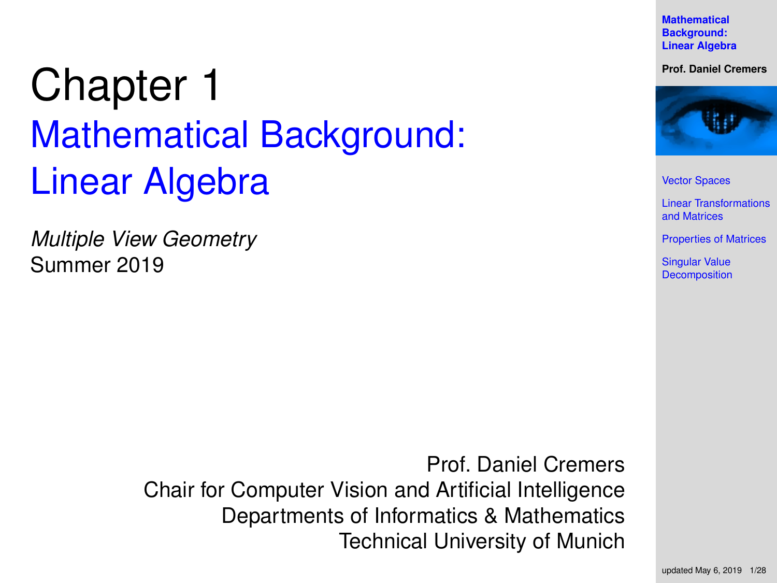**Mathematical Background: [Linear Algebra](#page-27-0)**

**Prof. Daniel Cremers**



[Vector Spaces](#page-2-0)

[Linear Transformations](#page-8-0) and Matrices

[Properties of Matrices](#page-14-0)

Singular Value **[Decomposition](#page-22-0)** 

# <span id="page-0-0"></span>Chapter 1 Mathematical Background: Linear Algebra

*Multiple View Geometry* Summer 2019

> Prof. Daniel Cremers Chair for Computer Vision and Artificial Intelligence Departments of Informatics & Mathematics Technical University of Munich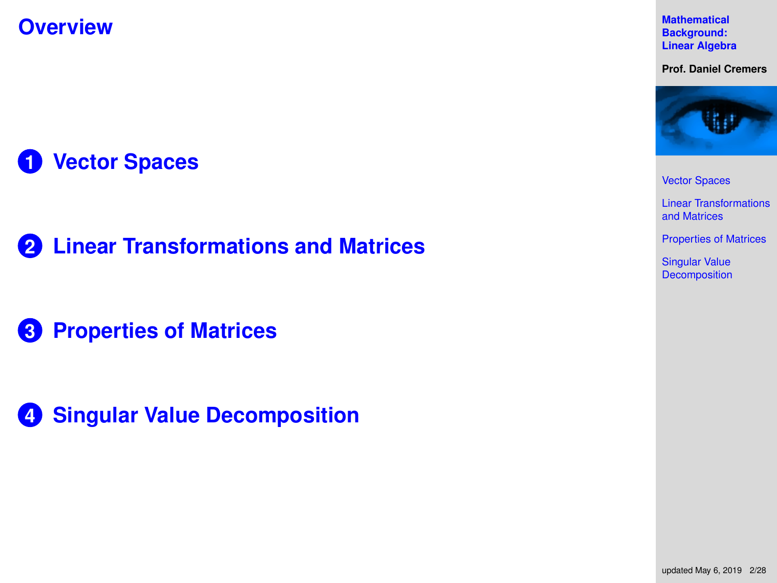**Overview**

**1 [Vector Spaces](#page-2-0)**

**2 [Linear Transformations and Matrices](#page-8-0)**

**3 [Properties of Matrices](#page-14-0)**

**4 [Singular Value Decomposition](#page-22-0)**

**Mathematical Background: [Linear Algebra](#page-0-0)**

**Prof. Daniel Cremers**



[Vector Spaces](#page-2-0)

[Linear Transformations](#page-8-0) and Matrices

[Properties of Matrices](#page-14-0)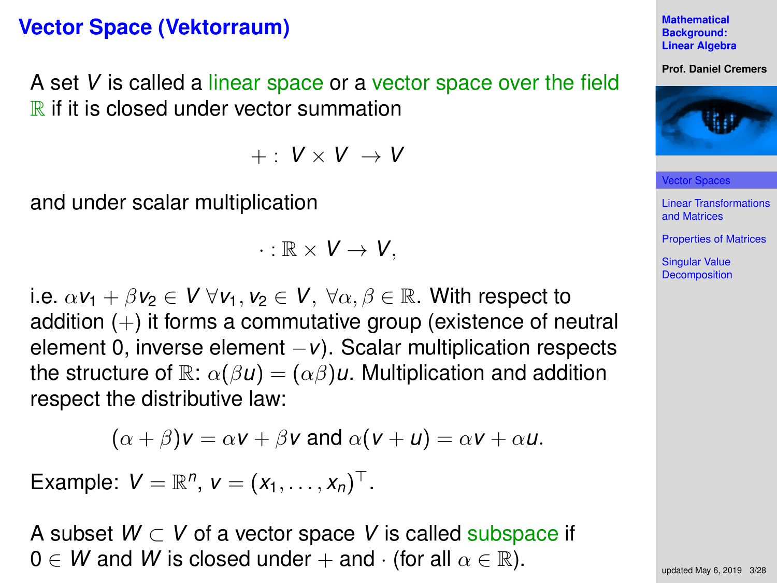### <span id="page-2-0"></span>**Vector Space (Vektorraum)**

A set *V* is called a linear space or a vector space over the field  $\mathbb R$  if it is closed under vector summation

 $+$  :  $V \times V \rightarrow V$ 

and under scalar multiplication

$$
\cdot : \mathbb{R} \times V \to V,
$$

i.e.  $\alpha v_1 + \beta v_2 \in V \ \forall v_1, v_2 \in V$ ,  $\forall \alpha, \beta \in \mathbb{R}$ . With respect to addition  $(+)$  it forms a commutative group (existence of neutral element 0, inverse element −*v*). Scalar multiplication respects the structure of  $\mathbb{R}$ :  $\alpha(\beta u) = (\alpha \beta)u$ . Multiplication and addition respect the distributive law:

$$
(\alpha + \beta)\mathsf{v} = \alpha\mathsf{v} + \beta\mathsf{v} \text{ and } \alpha(\mathsf{v} + \mathsf{u}) = \alpha\mathsf{v} + \alpha\mathsf{u}.
$$

Example:  $V = \mathbb{R}^n$ ,  $v = (x_1, ..., x_n)^{\top}$ .

A subset *W* ⊂ *V* of a vector space *V* is called subspace if  $0 \in W$  and *W* is closed under + and  $\cdot$  (for all  $\alpha \in \mathbb{R}$ ).

**Mathematical Background: [Linear Algebra](#page-0-0)**

**Prof. Daniel Cremers**



[Vector Spaces](#page-2-0)

[Linear Transformations](#page-8-0) and Matrices

[Properties of Matrices](#page-14-0)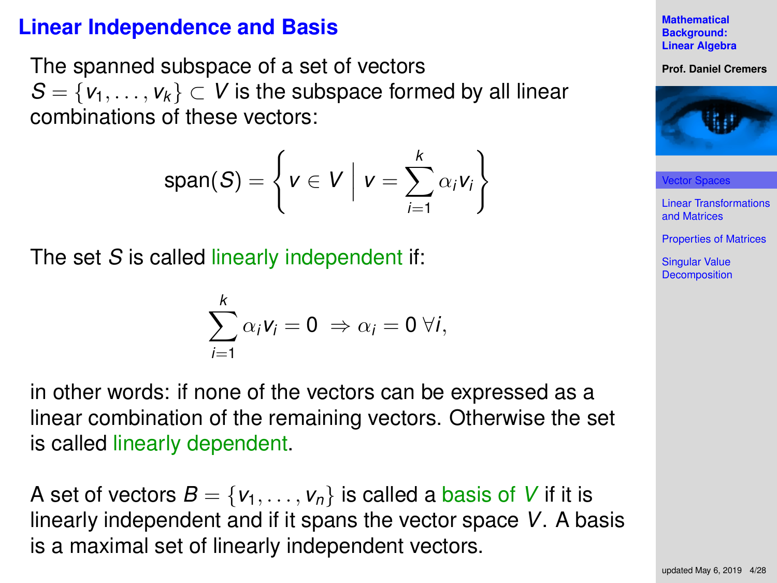# **Linear Independence and Basis**

The spanned subspace of a set of vectors  $S = \{v_1, \ldots, v_k\} \subset V$  is the subspace formed by all linear combinations of these vectors:

$$
\text{span}(S) = \left\{ v \in V \mid v = \sum_{i=1}^k \alpha_i v_i \right\}
$$

The set *S* is called linearly independent if:

$$
\sum_{i=1}^k \alpha_i v_i = 0 \Rightarrow \alpha_i = 0 \; \forall i,
$$

in other words: if none of the vectors can be expressed as a linear combination of the remaining vectors. Otherwise the set is called linearly dependent.

A set of vectors  $B = \{v_1, \ldots, v_n\}$  is called a basis of V if it is linearly independent and if it spans the vector space *V*. A basis is a maximal set of linearly independent vectors.

**Mathematical Background: [Linear Algebra](#page-0-0)**

#### **Prof. Daniel Cremers**



[Vector Spaces](#page-2-0)

[Linear Transformations](#page-8-0) and Matrices

[Properties of Matrices](#page-14-0)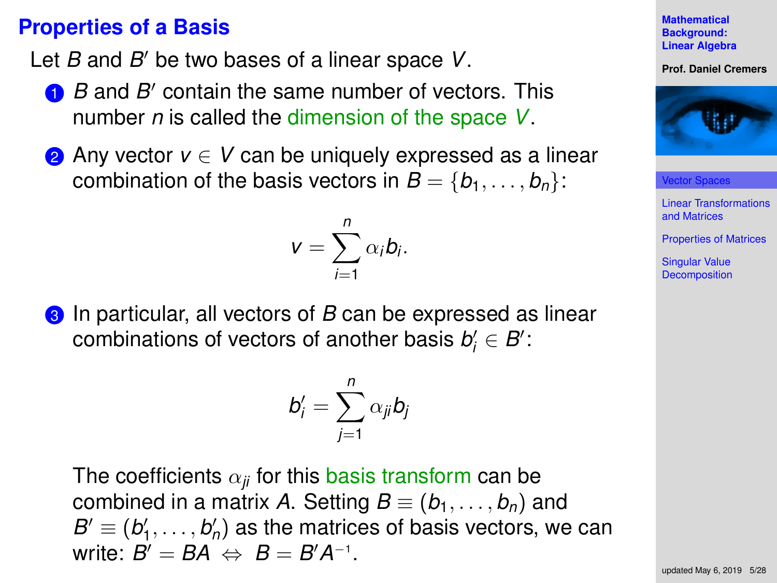### **Properties of a Basis**

Let *B* and *B'* be two bases of a linear space *V*.

- **1** *B* and *B'* contain the same number of vectors. This number *n* is called the dimension of the space *V*.
- **2** Any vector *v* ∈ *V* can be uniquely expressed as a linear combination of the basis vectors in  $B = \{b_1, \ldots, b_n\}$ :

$$
v=\sum_{i=1}^n\alpha_ib_i.
$$

**3** In particular, all vectors of *B* can be expressed as linear  $\mathsf{combinations}$  of vectors of another basis  $\mathit{b}'_i \in \mathit{B}'$  :

$$
b'_i = \sum_{j=1}^n \alpha_{ji} b_j
$$

The coefficients  $\alpha_{ij}$  for this basis transform can be combined in a matrix A. Setting  $B \equiv (b_1, \ldots, b_n)$  and  $B' \equiv (b'_1, \ldots, b'_n)$  as the matrices of basis vectors, we can write:  $B' = BA \Leftrightarrow B = B'A^{-1}$ .

**Mathematical Background: [Linear Algebra](#page-0-0)**

#### **Prof. Daniel Cremers**



[Vector Spaces](#page-2-0)

[Linear Transformations](#page-8-0) and Matrices

[Properties of Matrices](#page-14-0)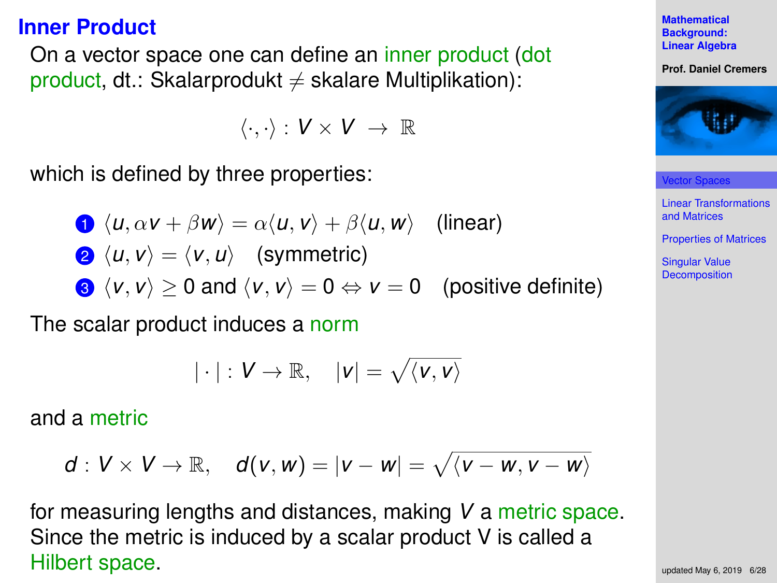### **Inner Product**

On a vector space one can define an inner product (dot product, dt.: Skalarprodukt  $\neq$  skalare Multiplikation):

$$
\langle \cdot, \cdot \rangle: V \times V \ \to \ \mathbb{R}
$$

which is defined by three properties:

\n- $$
\langle u, \alpha v + \beta w \rangle = \alpha \langle u, v \rangle + \beta \langle u, w \rangle
$$
 (linear)
\n- $\langle u, v \rangle = \langle v, u \rangle$  (symmetric)
\n- $\langle v, v \rangle \geq 0$  and  $\langle v, v \rangle = 0 \Leftrightarrow v = 0$  (positive definite)
\n

The scalar product induces a norm

$$
|\cdot|:V\to\mathbb{R},\quad |v|=\sqrt{\langle v,v\rangle}
$$

and a metric

$$
d: V \times V \to \mathbb{R}, \quad d(v, w) = |v - w| = \sqrt{\langle v - w, v - w \rangle}
$$

for measuring lengths and distances, making *V* a metric space. Since the metric is induced by a scalar product V is called a Hilbert space.



**Prof. Daniel Cremers**



[Vector Spaces](#page-2-0)

[Linear Transformations](#page-8-0) and Matrices

[Properties of Matrices](#page-14-0)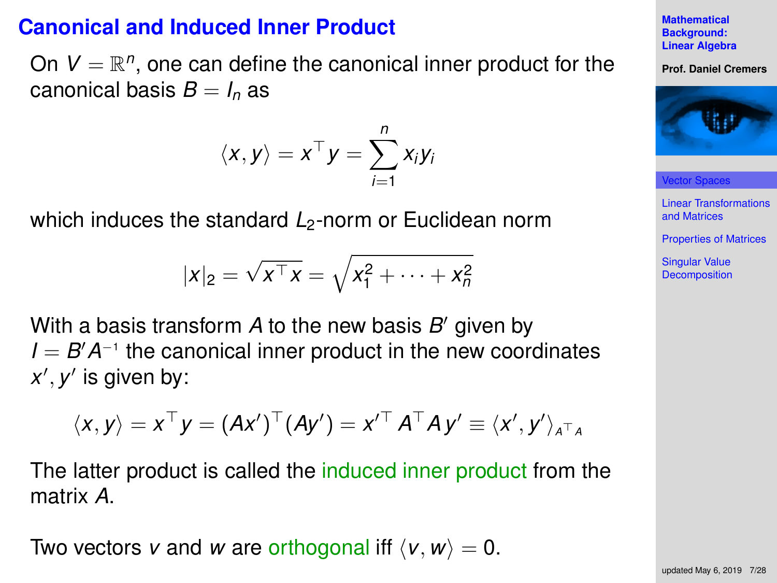### **Canonical and Induced Inner Product**

On  $V = \mathbb{R}^n$ , one can define the canonical inner product for the canonical basis  $B = I_n$  as

$$
\langle x, y \rangle = x^\top y = \sum_{i=1}^n x_i y_i
$$

which induces the standard *L*<sub>2</sub>-norm or Euclidean norm

$$
|x|_2 = \sqrt{x^{\top} x} = \sqrt{x_1^2 + \dots + x_n^2}
$$

With a basis transform A to the new basis B' given by *I* = *B*<sup> $′$ </sup> *A*<sup>-1</sup> the canonical inner product in the new coordinates x', y' is given by:

$$
\langle x, y \rangle = x^{\top} y = (Ax')^{\top} (Ay') = x'^{\top} A^{\top} A y' \equiv \langle x', y' \rangle_{A^{\top} A}
$$

The latter product is called the induced inner product from the matrix *A*.

Two vectors *v* and *w* are orthogonal iff  $\langle v, w \rangle = 0$ .



**Mathematical**

[Vector Spaces](#page-2-0)

[Linear Transformations](#page-8-0) and Matrices

[Properties of Matrices](#page-14-0)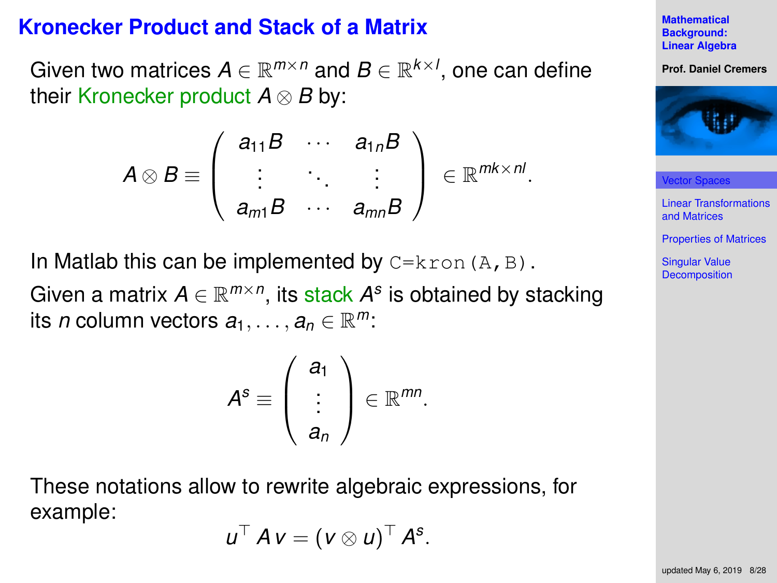#### **Kronecker Product and Stack of a Matrix**

Given two matrices  $A \in \mathbb{R}^{m \times n}$  and  $B \in \mathbb{R}^{k \times l}$ , one can define their Kronecker product *A* ⊗ *B* by:

$$
A\otimes B\equiv \left(\begin{array}{ccc}a_{11}B & \cdots & a_{1n}B \\ \vdots & \ddots & \vdots \\ a_{m1}B & \cdots & a_{mn}B\end{array}\right)\in\mathbb{R}^{mk\times nl}.
$$

In Matlab this can be implemented by  $C=kron(A, B)$ .

Given a matrix  $A \in \mathbb{R}^{m \times n}$ , its stack  $A^s$  is obtained by stacking its *n* column vectors  $a_1, \ldots, a_n \in \mathbb{R}^m$ :

$$
A^{s} \equiv \left(\begin{array}{c} a_{1} \\ \vdots \\ a_{n} \end{array}\right) \in \mathbb{R}^{mn}.
$$

These notations allow to rewrite algebraic expressions, for example:

$$
u^{\top} A v = (v \otimes u)^{\top} A^{s}.
$$

**Mathematical Background: [Linear Algebra](#page-0-0)**

#### **Prof. Daniel Cremers**



[Vector Spaces](#page-2-0)

[Linear Transformations](#page-8-0) and Matrices

[Properties of Matrices](#page-14-0)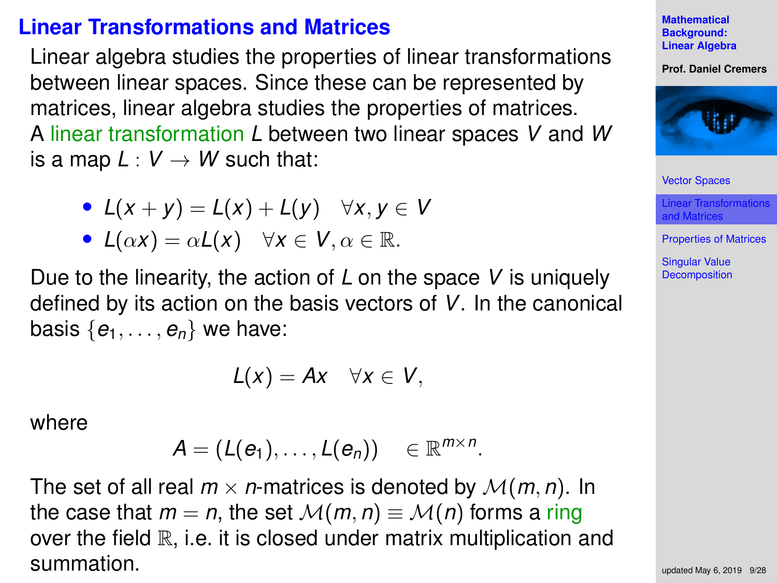### <span id="page-8-0"></span>**Linear Transformations and Matrices**

Linear algebra studies the properties of linear transformations between linear spaces. Since these can be represented by matrices, linear algebra studies the properties of matrices. A linear transformation *L* between two linear spaces *V* and *W* is a map  $L: V \rightarrow W$  such that:

- $L(x + y) = L(x) + L(y) \quad \forall x, y \in V$
- $L(\alpha x) = \alpha L(x) \quad \forall x \in V, \alpha \in \mathbb{R}.$

Due to the linearity, the action of *L* on the space *V* is uniquely defined by its action on the basis vectors of *V*. In the canonical basis  $\{e_1, \ldots, e_n\}$  we have:

$$
L(x) = Ax \quad \forall x \in V,
$$

where

 $A = (L(e_1), \ldots, L(e_n)) \in \mathbb{R}^{m \times n}$ .

The set of all real  $m \times n$ -matrices is denoted by  $\mathcal{M}(m, n)$ . In the case that  $m = n$ , the set  $\mathcal{M}(m, n) \equiv \mathcal{M}(n)$  forms a ring over the field  $\mathbb R$ , i.e. it is closed under matrix multiplication and summation.

**Mathematical Background: [Linear Algebra](#page-0-0)**

**Prof. Daniel Cremers**



[Vector Spaces](#page-2-0)

[Linear Transformations](#page-8-0) and Matrices

[Properties of Matrices](#page-14-0)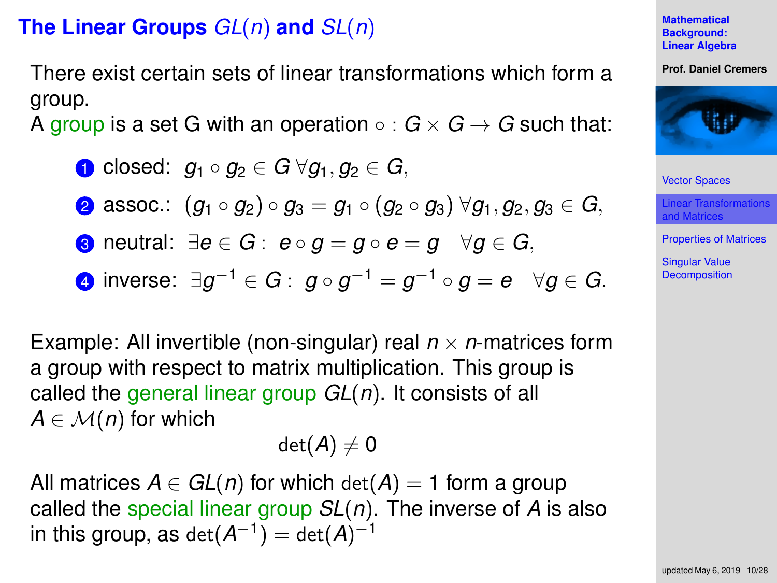# **The Linear Groups** *GL*(*n*) **and** *SL*(*n*)

There exist certain sets of linear transformations which form a group.

A group is a set G with an operation  $\circ$  :  $G \times G \rightarrow G$  such that:

\n- \n**0** closed: 
$$
g_1 \circ g_2 \in G \ \forall g_1, g_2 \in G
$$
,\n
\n- \n**2** associ:  $(g_1 \circ g_2) \circ g_3 = g_1 \circ (g_2 \circ g_3) \ \forall g_1, g_2, g_3 \in G$ ,\n
\n- \n**3** neutral:  $\exists e \in G : e \circ g = g \circ e = g \quad \forall g \in G$ ,\n
\n- \n**4** inverse:  $\exists g^{-1} \in G : g \circ g^{-1} = g^{-1} \circ g = e \quad \forall g \in G$ .\n
\n

Example: All invertible (non-singular) real  $n \times n$ -matrices form a group with respect to matrix multiplication. This group is called the general linear group *GL*(*n*). It consists of all  $A \in \mathcal{M}(n)$  for which

$$
\text{det}(\textit{A})\neq 0
$$

All matrices  $A \in GL(n)$  for which  $det(A) = 1$  form a group called the special linear group *SL*(*n*). The inverse of *A* is also in this group, as  $\det(A^{-1}) = \det(A)^{-1}$ 

#### **Mathematical Background: [Linear Algebra](#page-0-0)**

#### **Prof. Daniel Cremers**



[Vector Spaces](#page-2-0)

[Linear Transformations](#page-8-0) and Matrices

[Properties of Matrices](#page-14-0)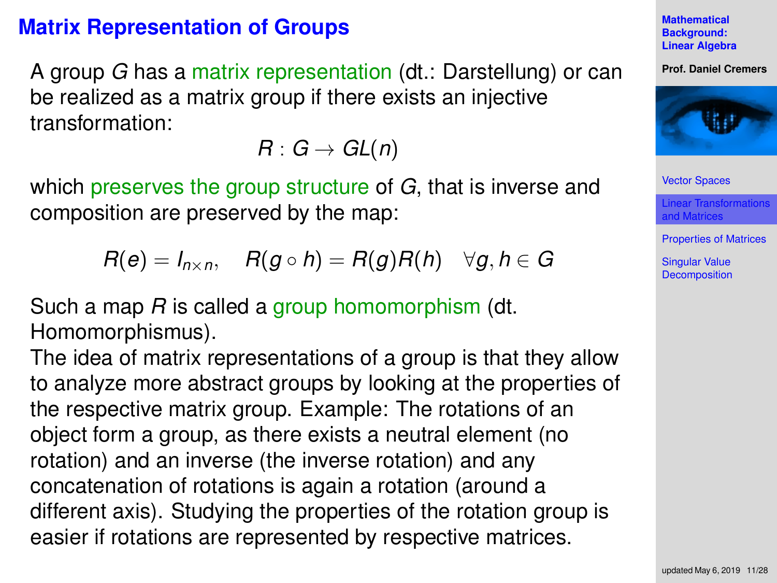# **Matrix Representation of Groups**

A group *G* has a matrix representation (dt.: Darstellung) or can be realized as a matrix group if there exists an injective transformation:

 $R: G \rightarrow GL(n)$ 

which preserves the group structure of *G*, that is inverse and composition are preserved by the map:

$$
R(e) = I_{n \times n}, \quad R(g \circ h) = R(g)R(h) \quad \forall g, h \in G
$$

Such a map *R* is called a group homomorphism (dt. Homomorphismus).

The idea of matrix representations of a group is that they allow to analyze more abstract groups by looking at the properties of the respective matrix group. Example: The rotations of an object form a group, as there exists a neutral element (no rotation) and an inverse (the inverse rotation) and any concatenation of rotations is again a rotation (around a different axis). Studying the properties of the rotation group is easier if rotations are represented by respective matrices.

**Mathematical Background: [Linear Algebra](#page-0-0)**

**Prof. Daniel Cremers**



[Vector Spaces](#page-2-0)

[Linear Transformations](#page-8-0) and Matrices

[Properties of Matrices](#page-14-0)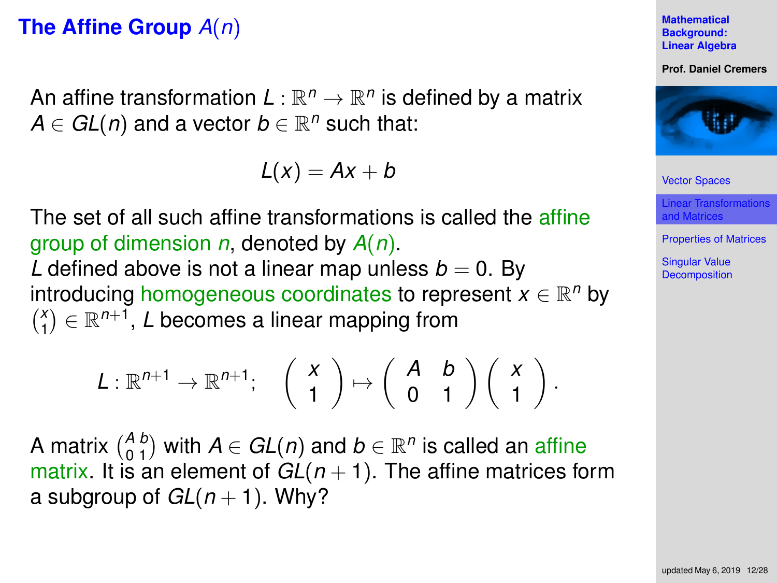# **The Affine Group** *A*(*n*)

An affine transformation  $L:\mathbb{R}^n\to\mathbb{R}^n$  is defined by a matrix  $A \in GL(n)$  and a vector  $b \in \mathbb{R}^n$  such that:

 $L(x) = Ax + b$ 

The set of all such affine transformations is called the affine group of dimension *n*, denoted by *A*(*n*). *L* defined above is not a linear map unless  $b = 0$ . By introducing homogeneous coordinates to represent *x* ∈ R<sup>n</sup> by  $\binom{x}{1} \in \mathbb{R}^{n+1}$ , *L* becomes a linear mapping from

$$
L: \mathbb{R}^{n+1} \to \mathbb{R}^{n+1}; \quad \left(\begin{array}{c} x \\ 1 \end{array}\right) \mapsto \left(\begin{array}{cc} A & b \\ 0 & 1 \end{array}\right) \left(\begin{array}{c} x \\ 1 \end{array}\right).
$$

A matrix  $\binom{A}{0 \ 1}$  with  $A \in GL(n)$  and  $b \in \mathbb{R}^n$  is called an affine matrix. It is an element of  $GL(n + 1)$ . The affine matrices form a subgroup of  $GL(n + 1)$ . Why?

**Mathematical Background: [Linear Algebra](#page-0-0)**

**Prof. Daniel Cremers**



[Vector Spaces](#page-2-0)

[Linear Transformations](#page-8-0) and Matrices

[Properties of Matrices](#page-14-0)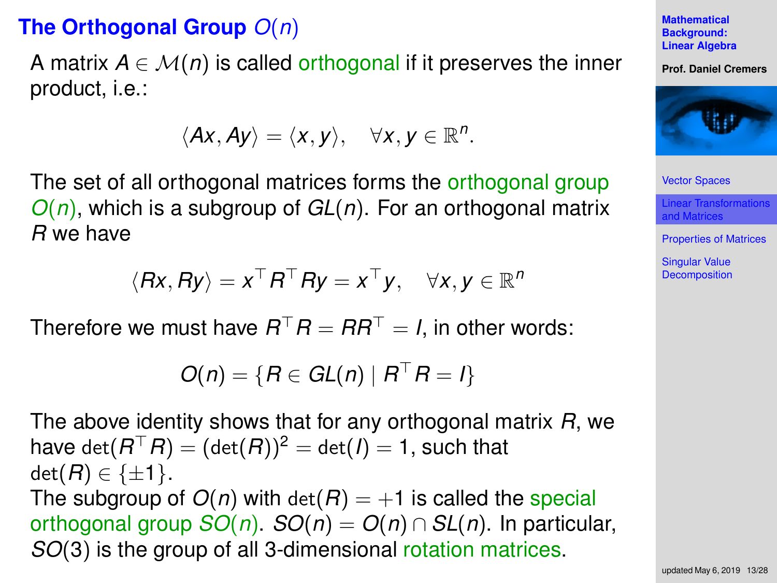# **The Orthogonal Group** *O*(*n*)

A matrix  $A \in \mathcal{M}(n)$  is called orthogonal if it preserves the inner product, i.e.:

$$
\langle Ax, Ay \rangle = \langle x, y \rangle, \quad \forall x, y \in \mathbb{R}^n.
$$

The set of all orthogonal matrices forms the orthogonal group *O*(*n*), which is a subgroup of *GL*(*n*). For an orthogonal matrix *R* we have

$$
\langle Rx, Ry \rangle = x^{\top} R^{\top} Ry = x^{\top} y, \quad \forall x, y \in \mathbb{R}^n
$$

Therefore we must have  $R^{\top}R = RR^{\top} = I$ , in other words:

$$
O(n) = \{R \in GL(n) \mid R^{\top}R = I\}
$$

The above identity shows that for any orthogonal matrix *R*, we have  $\det (R^\top R) = (\det (R))^2 = \det (I) = 1,$  such that  $\det(B) \in \{\pm 1\}.$ The subgroup of  $O(n)$  with  $det(R) = +1$  is called the special orthogonal group  $SO(n)$ .  $SO(n) = O(n) \cap SL(n)$ . In particular, *SO*(3) is the group of all 3-dimensional rotation matrices.

**Mathematical Background: [Linear Algebra](#page-0-0)**

**Prof. Daniel Cremers**



[Vector Spaces](#page-2-0)

[Linear Transformations](#page-8-0) and Matrices

[Properties of Matrices](#page-14-0)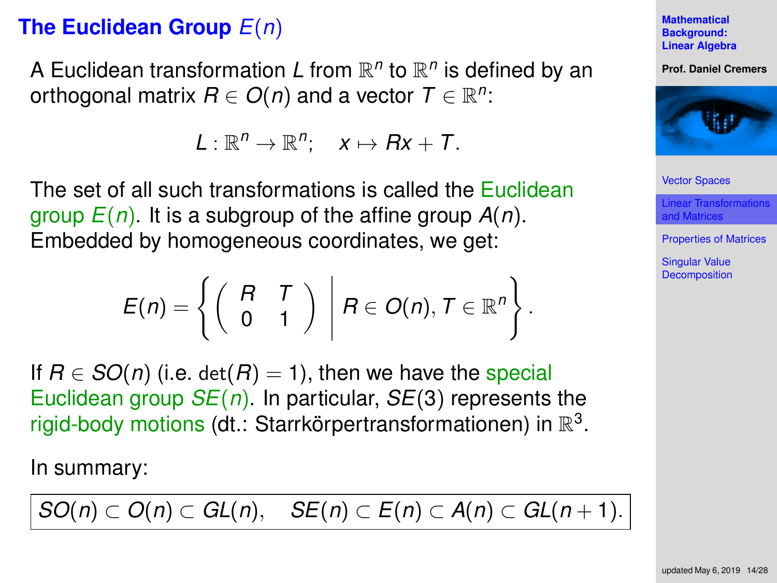# **The Euclidean Group** *E*(*n*)

A Euclidean transformation L from  $\mathbb{R}^n$  to  $\mathbb{R}^n$  is defined by an orthogonal matrix  $R \in O(n)$  and a vector  $T \in \mathbb{R}^n$ :

 $L: \mathbb{R}^n \to \mathbb{R}^n; \quad x \mapsto Rx + T.$ 

The set of all such transformations is called the Euclidean group *E*(*n*). It is a subgroup of the affine group *A*(*n*). Embedded by homogeneous coordinates, we get:

$$
E(n) = \left\{ \left( \begin{array}{cc} R & T \\ 0 & 1 \end{array} \right) \middle| B \in O(n), T \in \mathbb{R}^n \right\}.
$$

If  $R \in SO(n)$  (i.e. det( $R$ ) = 1), then we have the special Euclidean group *SE*(*n*). In particular, *SE*(3) represents the rigid-body motions (dt.: Starrkörpertransformationen) in  $\mathbb{R}^3$ .

In summary:

$$
SO(n)\subset O(n)\subset GL(n),\quad SE(n)\subset E(n)\subset A(n)\subset GL(n+1).
$$

**Mathematical Background: [Linear Algebra](#page-0-0)**

**Prof. Daniel Cremers**



[Vector Spaces](#page-2-0)

[Linear Transformations](#page-8-0) and Matrices

[Properties of Matrices](#page-14-0)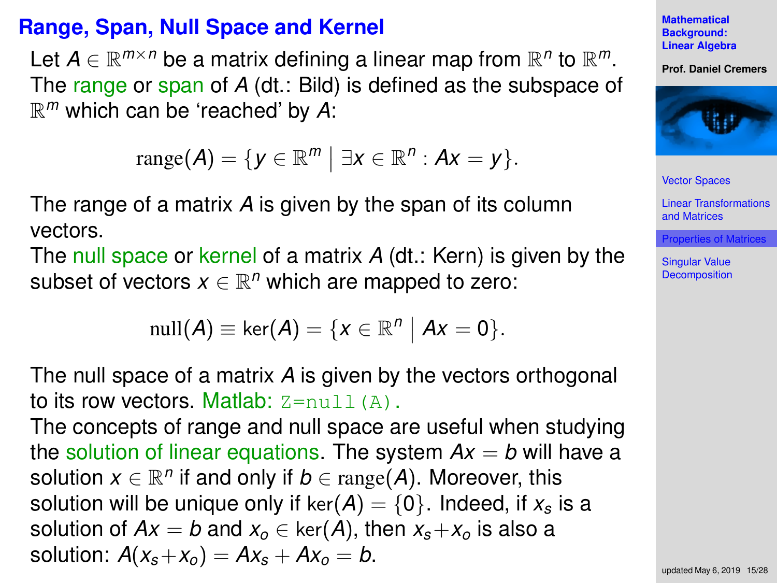# <span id="page-14-0"></span>**Range, Span, Null Space and Kernel**

Let  $A \in \mathbb{R}^{m \times n}$  be a matrix defining a linear map from  $\mathbb{R}^n$  to  $\mathbb{R}^m$ . The range or span of *A* (dt.: Bild) is defined as the subspace of R *<sup>m</sup>* which can be 'reached' by *A*:

$$
\text{range}(\boldsymbol{A}) = \{ \boldsymbol{y} \in \mathbb{R}^m \mid \exists \boldsymbol{x} \in \mathbb{R}^n : \boldsymbol{A}\boldsymbol{x} = \boldsymbol{y} \}.
$$

The range of a matrix *A* is given by the span of its column vectors.

The null space or kernel of a matrix *A* (dt.: Kern) is given by the subset of vectors  $x \in \mathbb{R}^n$  which are mapped to zero:

$$
\operatorname{null}(A) \equiv \ker(A) = \{x \in \mathbb{R}^n \mid Ax = 0\}.
$$

The null space of a matrix *A* is given by the vectors orthogonal to its row vectors. Matlab:  $Z = null(A)$ .

The concepts of range and null space are useful when studying the solution of linear equations. The system  $Ax = b$  will have a solution  $x \in \mathbb{R}^n$  if and only if  $b \in \text{range}(A)$ . Moreover, this solution will be unique only if  $ker(A) = \{0\}$ . Indeed, if  $x_s$  is a solution of  $Ax = b$  and  $x_0 \in \text{ker}(A)$ , then  $x_s + x_o$  is also a solution:  $A(x_s + x_o) = Ax_s + Ax_o = b$ .

**Mathematical Background: [Linear Algebra](#page-0-0)**

**Prof. Daniel Cremers**



[Vector Spaces](#page-2-0)

[Linear Transformations](#page-8-0) and Matrices

[Properties of Matrices](#page-14-0)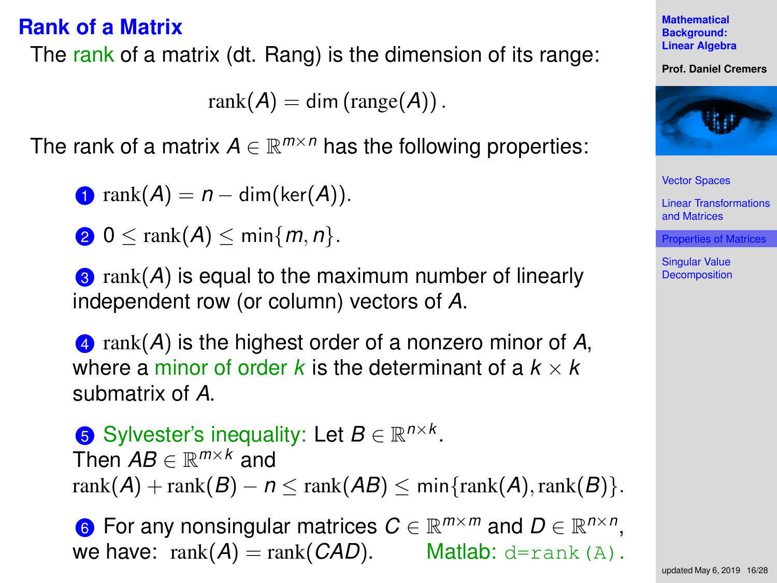### **Rank of a Matrix**

The rank of a matrix (dt. Rang) is the dimension of its range:

 $rank(A) = dim(range(A))$ .

The rank of a matrix  $A \in \mathbb{R}^{m \times n}$  has the following properties:

 $\bigcap$  rank $(A) = n - \dim(\ker(A)).$ 

$$
2 \ 0 \leq \operatorname{rank}(A) \leq \min\{m, n\}.
$$

**3** rank(*A*) is equal to the maximum number of linearly independent row (or column) vectors of *A*.

<sup>4</sup> rank(*A*) is the highest order of a nonzero minor of *A*, where a minor of order *k* is the determinant of a  $k \times k$ submatrix of *A*.

**5** Sylvester's inequality: Let  $B \in \mathbb{R}^{n \times k}$ . Then *AB* ∈ R *<sup>m</sup>*×*<sup>k</sup>* and rank $(A)$  + rank $(B)$  –  $n <$  rank $(AB)$  < min $\{rank(A), rank(B)\}.$ 

**6** For any nonsingular matrices  $C \in \mathbb{R}^{m \times m}$  and  $D \in \mathbb{R}^{n \times n}$ , we have:  $rank(A) = rank(CAD)$ . Matlab: d=rank(A).

**Mathematical Background: [Linear Algebra](#page-0-0)**

**Prof. Daniel Cremers**



[Vector Spaces](#page-2-0)

[Linear Transformations](#page-8-0) and Matrices

[Properties of Matrices](#page-14-0)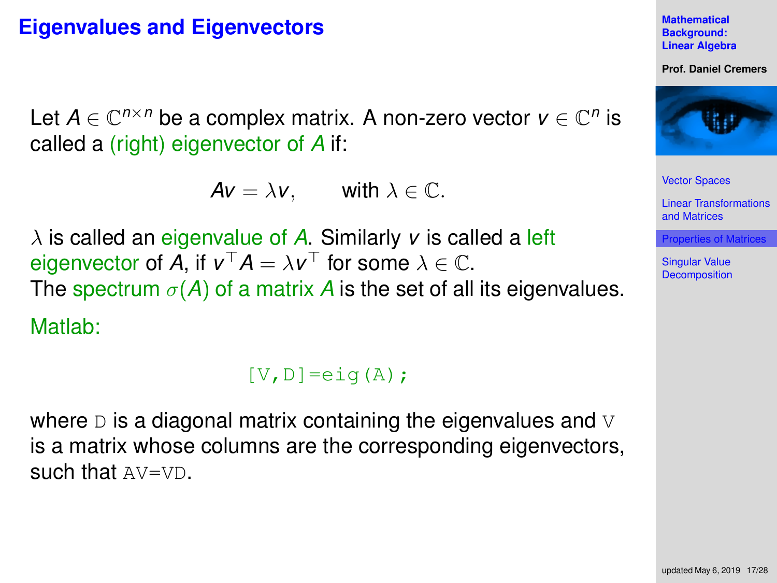# **Eigenvalues and Eigenvectors**

Let  $A \in \mathbb{C}^{n \times n}$  be a complex matrix. A non-zero vector  $v \in \mathbb{C}^n$  is called a (right) eigenvector of *A* if:

 $Av = \lambda v$ , with  $\lambda \in \mathbb{C}$ .

 $\lambda$  is called an eigenvalue of A. Similarly *v* is called a left eigenvector of *A*, if  $v^{\top}A = \lambda v^{\top}$  for some  $\lambda \in \mathbb{C}$ . The spectrum  $\sigma(A)$  of a matrix A is the set of all its eigenvalues.

Matlab:

```
[V,D]=e i q(A);
```
where  $D$  is a diagonal matrix containing the eigenvalues and  $\nabla$ is a matrix whose columns are the corresponding eigenvectors. such that AV=VD.

**Mathematical Background: [Linear Algebra](#page-0-0)**

**Prof. Daniel Cremers**



[Vector Spaces](#page-2-0)

[Linear Transformations](#page-8-0) and Matrices

[Properties of Matrices](#page-14-0)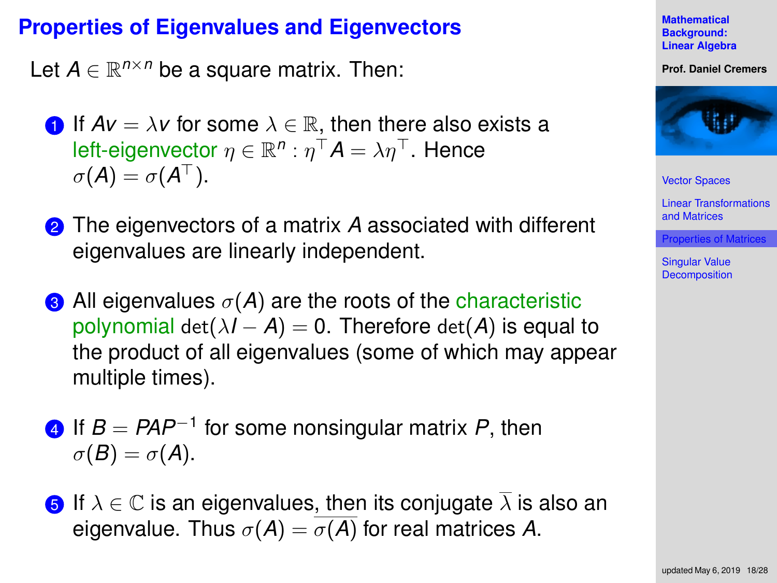# **Properties of Eigenvalues and Eigenvectors**

Let  $A \in \mathbb{R}^{n \times n}$  be a square matrix. Then:

- **1** If  $Av = \lambda v$  for some  $\lambda \in \mathbb{R}$ , then there also exists a left-eigenvector  $\eta \in \mathbb{R}^n: \eta^\top \bm A = \lambda \eta^\top.$  Hence  $\sigma(A) = \sigma(A^{\top}).$
- <sup>2</sup> The eigenvectors of a matrix *A* associated with different eigenvalues are linearly independent.
- **3** All eigenvalues  $\sigma(A)$  are the roots of the characteristic polynomial det( $\lambda I - A$ ) = 0. Therefore det(A) is equal to the product of all eigenvalues (some of which may appear multiple times).
- <sup>4</sup> If *B* = *PAP*<sup>−</sup><sup>1</sup> for some nonsingular matrix *P*, then  $\sigma(B) = \sigma(A).$
- **5** If  $\lambda \in \mathbb{C}$  is an eigenvalues, then its conjugate  $\overline{\lambda}$  is also an eigenvalue. Thus  $\sigma(A) = \overline{\sigma(A)}$  for real matrices A.



**Prof. Daniel Cremers**



[Vector Spaces](#page-2-0)

[Linear Transformations](#page-8-0) and Matrices

[Properties of Matrices](#page-14-0)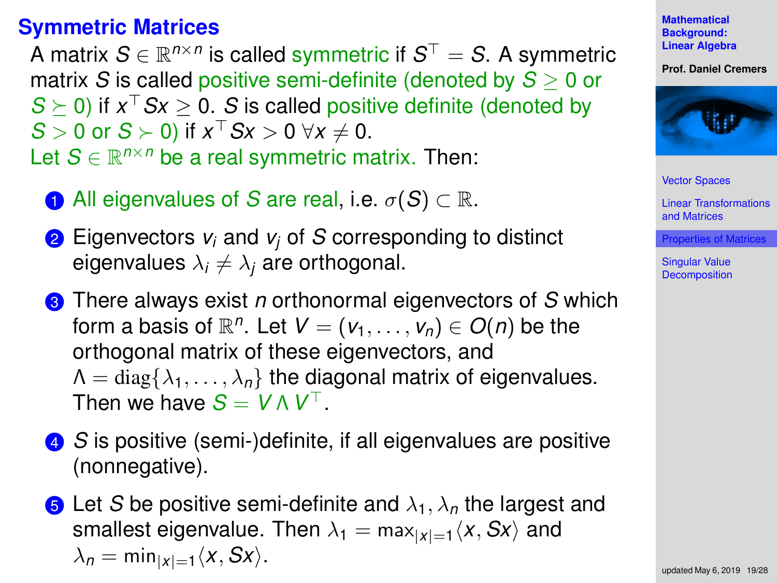# **Symmetric Matrices**

A matrix  $\mathcal{S} \in \mathbb{R}^{n \times n}$  is called symmetric if  $\mathcal{S}^\top = \mathcal{S}$ . A symmetric matrix *S* is called positive semi-definite (denoted by *S* ≥ 0 or  $S \succeq 0$ ) if  $x^{\top} S x \geq 0$ . *S* is called positive definite (denoted by  $S > 0$  or  $S \succ 0$ ) if  $x^{\top} S x > 0 \ \forall x \neq 0$ . Let  $S \in \mathbb{R}^{n \times n}$  be a real symmetric matrix. Then:

- **1** All eigenvalues of *S* are real, i.e.  $\sigma(S) \subset \mathbb{R}$ .
- <sup>2</sup> Eigenvectors *v<sup>i</sup>* and *v<sup>j</sup>* of *S* corresponding to distinct eigenvalues  $\lambda_i \neq \lambda_j$  are orthogonal.
- <sup>3</sup> There always exist *n* orthonormal eigenvectors of *S* which form a basis of  $\mathbb{R}^n$ . Let  $V = (v_1, \ldots, v_n) \in O(n)$  be the orthogonal matrix of these eigenvectors, and  $\Lambda = \text{diag}\{\lambda_1, \ldots, \lambda_n\}$  the diagonal matrix of eigenvalues. Then we have  $S = V \wedge V^\top$ .
- <sup>4</sup> *S* is positive (semi-)definite, if all eigenvalues are positive (nonnegative).
- **6** Let *S* be positive semi-definite and  $\lambda_1$ ,  $\lambda_n$  the largest and smallest eigenvalue. Then  $\lambda_1 = \max_{|x|=1} \langle x, Sx \rangle$  and  $\lambda_n = \min_{|x|=1} \langle x, Sx \rangle$ .

**Mathematical Background: [Linear Algebra](#page-0-0)**

**Prof. Daniel Cremers**



[Vector Spaces](#page-2-0)

[Linear Transformations](#page-8-0) and Matrices

[Properties of Matrices](#page-14-0)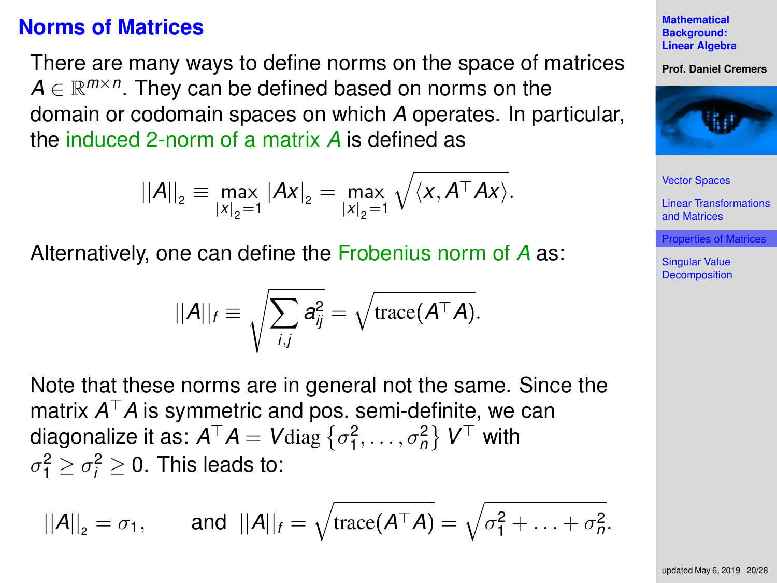#### **Norms of Matrices**

There are many ways to define norms on the space of matrices  $A \in \mathbb{R}^{m \times n}$ . They can be defined based on norms on the domain or codomain spaces on which *A* operates. In particular, the induced 2-norm of a matrix *A* is defined as

$$
||A||_2 \equiv \max_{|x|_2=1} |Ax|_2 = \max_{|x|_2=1} \sqrt{\langle x, A^{\top}Ax \rangle}.
$$

Alternatively, one can define the Frobenius norm of *A* as:

$$
||A||_f \equiv \sqrt{\sum_{i,j} a_{ij}^2} = \sqrt{\text{trace}(A^\top A)}.
$$

Note that these norms are in general not the same. Since the matrix  $A^\top A$  is symmetric and pos. semi-definite, we can diagonalize it as:  $A^{\top}A = V$ diag  $\left\{ \sigma_1^2, \ldots, \sigma_n^2 \right\}$   $V^{\top}$  with  $\sigma_1^2 \geq \sigma_i^2 \geq 0$ . This leads to:

$$
||A||_2 = \sigma_1
$$
, and  $||A||_f = \sqrt{\text{trace}(A^\top A)} = \sqrt{\sigma_1^2 + \ldots + \sigma_n^2}$ .

**Mathematical Background: [Linear Algebra](#page-0-0)**

**Prof. Daniel Cremers**



[Vector Spaces](#page-2-0)

[Linear Transformations](#page-8-0) and Matrices

[Properties of Matrices](#page-14-0)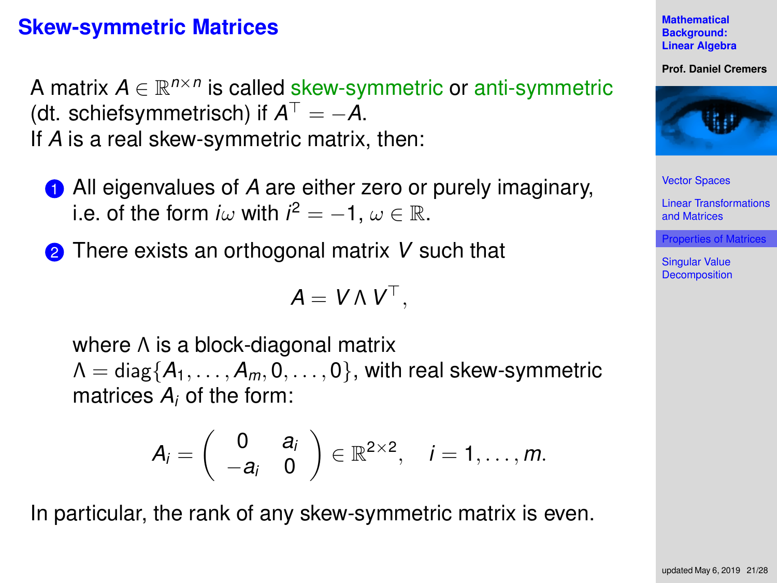### **Skew-symmetric Matrices**

A matrix  $A \in \mathbb{R}^{n \times n}$  is called skew-symmetric or anti-symmetric (dt. schiefsymmetrisch) if  $A^{\top} = -A$ . If *A* is a real skew-symmetric matrix, then:

- **1** All eigenvalues of A are either zero or purely imaginary, i.e. of the form *i* $\omega$  with *i*<sup>2</sup> = -1,  $\omega \in \mathbb{R}$ .
- <sup>2</sup> There exists an orthogonal matrix *V* such that

$$
A = V \wedge V^{\top},
$$

where Λ is a block-diagonal matrix  $\Lambda = \text{diag}\{A_1, \ldots, A_m, 0, \ldots, 0\}$ , with real skew-symmetric matrices *A<sup>i</sup>* of the form:

$$
A_i=\left(\begin{array}{cc}0&a_i\\-a_i&0\end{array}\right)\in\mathbb{R}^{2\times 2},\quad i=1,\ldots,m.
$$

In particular, the rank of any skew-symmetric matrix is even.

**Mathematical Background: [Linear Algebra](#page-0-0)**

**Prof. Daniel Cremers**



[Vector Spaces](#page-2-0)

[Linear Transformations](#page-8-0) and Matrices

[Properties of Matrices](#page-14-0)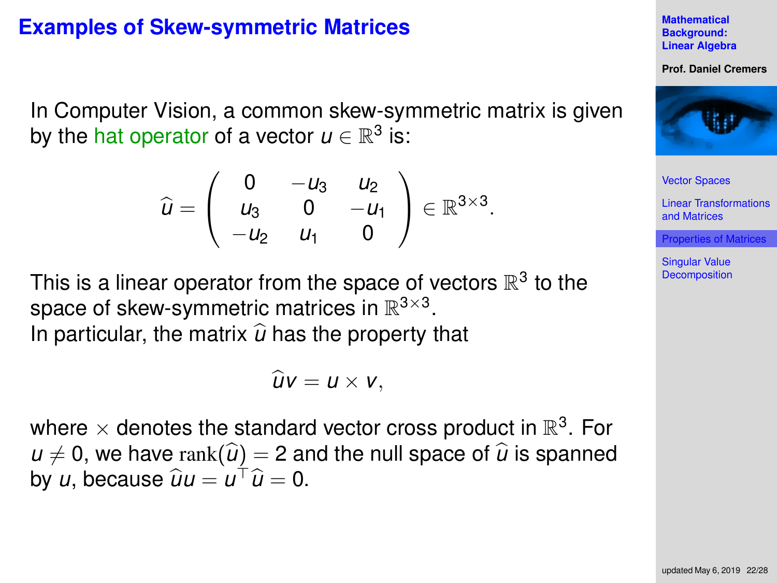### **Examples of Skew-symmetric Matrices**

In Computer Vision, a common skew-symmetric matrix is given by the hat operator of a vector  $u\in\mathbb{R}^3$  is:

$$
\widehat{u} = \left(\begin{array}{ccc} 0 & -u_3 & u_2 \\ u_3 & 0 & -u_1 \\ -u_2 & u_1 & 0 \end{array}\right) \in \mathbb{R}^{3 \times 3}.
$$

This is a linear operator from the space of vectors  $\mathbb{R}^3$  to the space of skew-symmetric matrices in  $\mathbb{R}^{3\times3}$ . In particular, the matrix  $\hat{u}$  has the property that

$$
\widehat{u}v=u\times v,
$$

where  $\times$  denotes the standard vector cross product in  $\mathbb{R}^3$ . For  $u \neq 0$ , we have rank $(\widehat{u}) = 2$  and the null space of  $\widehat{u}$  is spanned by *u*, because  $\hat{u}u = u^{\top}\hat{u} = 0$ .

**Mathematical Background: [Linear Algebra](#page-0-0)**

**Prof. Daniel Cremers**



[Vector Spaces](#page-2-0)

[Linear Transformations](#page-8-0) and Matrices

[Properties of Matrices](#page-14-0)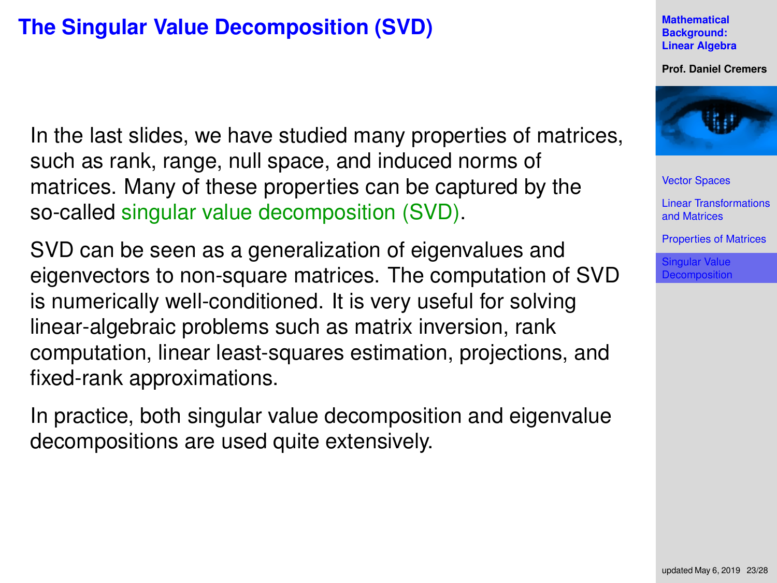# <span id="page-22-0"></span>**The Singular Value Decomposition (SVD)**

In the last slides, we have studied many properties of matrices, such as rank, range, null space, and induced norms of matrices. Many of these properties can be captured by the so-called singular value decomposition (SVD).

SVD can be seen as a generalization of eigenvalues and eigenvectors to non-square matrices. The computation of SVD is numerically well-conditioned. It is very useful for solving linear-algebraic problems such as matrix inversion, rank computation, linear least-squares estimation, projections, and fixed-rank approximations.

In practice, both singular value decomposition and eigenvalue decompositions are used quite extensively.

**Mathematical Background: [Linear Algebra](#page-0-0)**

**Prof. Daniel Cremers**



[Vector Spaces](#page-2-0)

[Linear Transformations](#page-8-0) and Matrices

[Properties of Matrices](#page-14-0)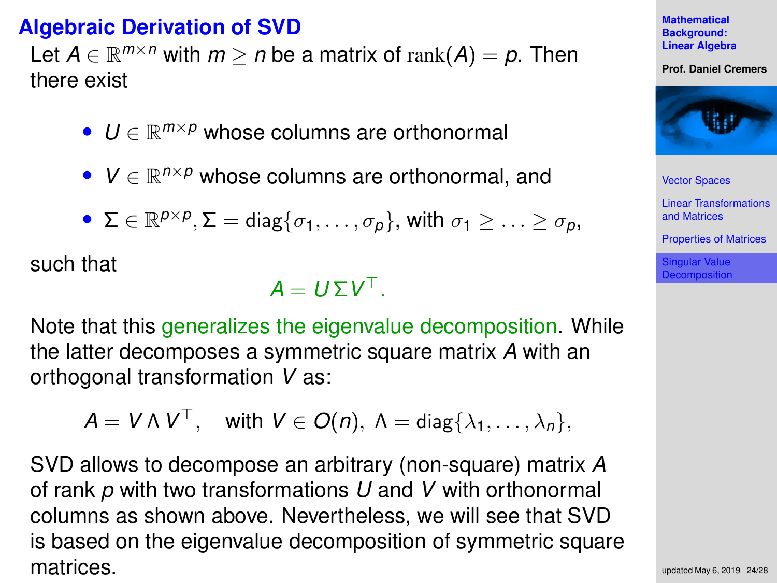# **Algebraic Derivation of SVD**

Let  $A \in \mathbb{R}^{m \times n}$  with  $m \ge n$  be a matrix of rank $(A) = p$ . Then there exist

- *U* ∈ R *<sup>m</sup>*×*<sup>p</sup>* whose columns are orthonormal
- *V* ∈ R *<sup>n</sup>*×*<sup>p</sup>* whose columns are orthonormal, and

• 
$$
\Sigma \in \mathbb{R}^{p \times p}, \Sigma = \text{diag}\{\sigma_1, \ldots, \sigma_p\}
$$
, with  $\sigma_1 \geq \ldots \geq \sigma_p$ ,

such that

 $A = U \Sigma V^{\top}$ .

Note that this generalizes the eigenvalue decomposition. While the latter decomposes a symmetric square matrix *A* with an orthogonal transformation *V* as:

$$
\mathsf{A} = \mathsf{V} \wedge \mathsf{V}^\top, \quad \text{with } \mathsf{V} \in O(n), \ \mathsf{\Lambda} = \mathsf{diag}\{\lambda_1, \ldots, \lambda_n\},
$$

SVD allows to decompose an arbitrary (non-square) matrix *A* of rank *p* with two transformations *U* and *V* with orthonormal columns as shown above. Nevertheless, we will see that SVD is based on the eigenvalue decomposition of symmetric square matrices.



**Prof. Daniel Cremers**



[Vector Spaces](#page-2-0)

[Linear Transformations](#page-8-0) and Matrices

[Properties of Matrices](#page-14-0)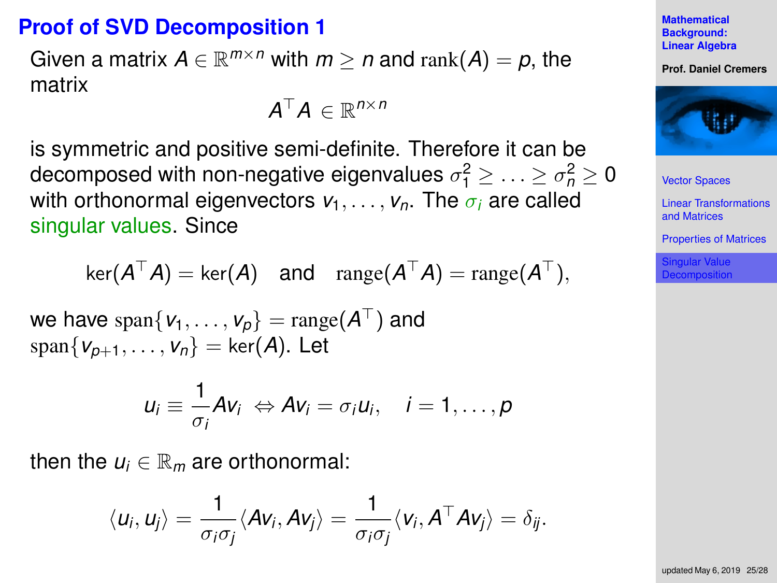# **Proof of SVD Decomposition 1**

Given a matrix  $A \in \mathbb{R}^{m \times n}$  with  $m \geq n$  and  $\text{rank}(A) = p$ , the matrix

$$
\bm{A}^\top \bm{A} \in \mathbb{R}^{n \times n}
$$

is symmetric and positive semi-definite. Therefore it can be decomposed with non-negative eigenvalues  $\sigma_1^2 \geq \ldots \geq \sigma_n^2 \geq 0$ with orthonormal eigenvectors  $v_1, \ldots, v_n$ . The  $\sigma_i$  are called singular values. Since

$$
\ker(A^{\top} A) = \ker(A) \quad \text{and} \quad \operatorname{range}(A^{\top} A) = \operatorname{range}(A^{\top}),
$$

we have  $\text{span}\{\mathsf{v}_1,\ldots,\mathsf{v}_p\} = \text{range}(\mathsf{A}^\top)$  and  $span{V_{p+1}, \ldots, V_n}$  = ker(*A*). Let

$$
u_i \equiv \frac{1}{\sigma_i}Av_i \Leftrightarrow Av_i = \sigma_i u_i, \quad i = 1, \ldots, p
$$

then the  $u_i \in \mathbb{R}_m$  are orthonormal:

$$
\langle u_i, u_j \rangle = \frac{1}{\sigma_i \sigma_j} \langle Av_i, Av_j \rangle = \frac{1}{\sigma_i \sigma_j} \langle v_i, A^{\top} Av_j \rangle = \delta_{ij}.
$$

**Mathematical Background: [Linear Algebra](#page-0-0)**

**Prof. Daniel Cremers**



[Vector Spaces](#page-2-0)

[Linear Transformations](#page-8-0) and Matrices

[Properties of Matrices](#page-14-0)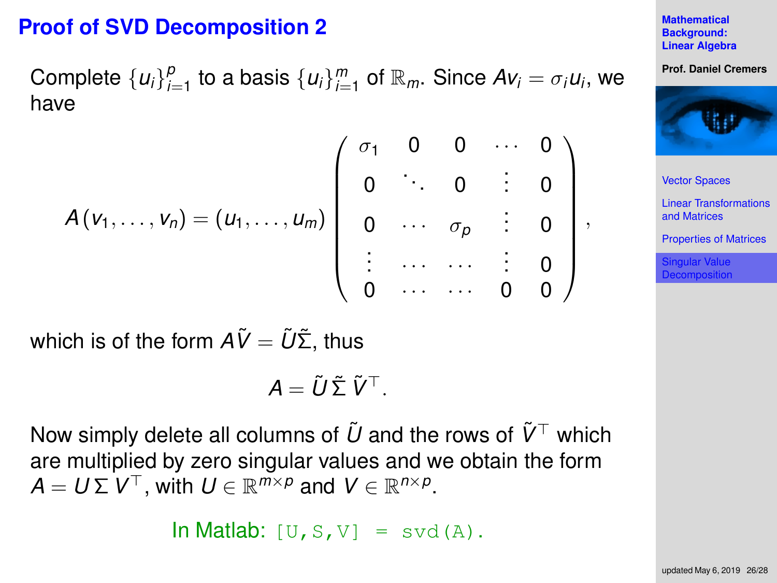# **Proof of SVD Decomposition 2**

Complete  $\{u_i\}_{i=1}^p$  to a basis  $\{u_i\}_{i=1}^m$  of  $\mathbb{R}_m$ . Since  $Av_i = \sigma_i u_i$ , we have

$$
A(v_1,...,v_n)=(u_1,...,u_m)\begin{pmatrix} \sigma_1 & 0 & 0 & \cdots & 0 \\ 0 & \ddots & 0 & \vdots & 0 \\ 0 & \cdots & \sigma_p & \vdots & 0 \\ \vdots & \cdots & \cdots & \vdots & 0 \\ 0 & \cdots & \cdots & 0 & 0 \end{pmatrix},
$$

which is of the form  $A\tilde{V} = \tilde{U}\tilde{\Sigma}$ , thus

$$
A = \tilde{U} \tilde{\Sigma} \tilde{V}^{\top}.
$$

Now simply delete all columns of  $\tilde{U}$  and the rows of  $\tilde{V}^{\top}$  which are multiplied by zero singular values and we obtain the form  $A = U \Sigma V^{\top}$ , with  $U \in \mathbb{R}^{m \times p}$  and  $V \in \mathbb{R}^{n \times p}$ .

In Matlab:  $[U, S, V] = svd(A)$ .

**Mathematical Background: [Linear Algebra](#page-0-0)**

**Prof. Daniel Cremers**



[Vector Spaces](#page-2-0)

[Linear Transformations](#page-8-0) and Matrices

[Properties of Matrices](#page-14-0)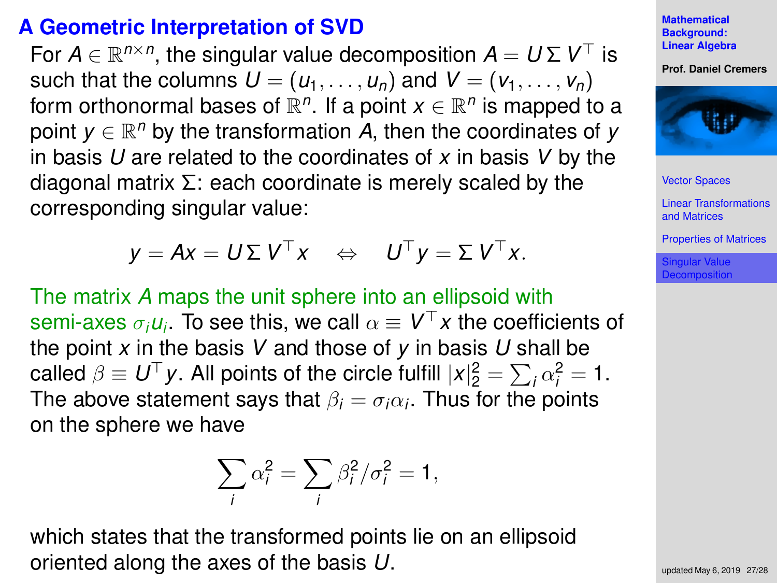# **A Geometric Interpretation of SVD**

For  $A \in \mathbb{R}^{n \times n}$ , the singular value decomposition  $A = U \Sigma V^{\top}$  is such that the columns  $U = (u_1, \ldots, u_n)$  and  $V = (v_1, \ldots, v_n)$ form orthonormal bases of  $\mathbb{R}^n$ . If a point  $x\in\mathbb{R}^n$  is mapped to a point *y* ∈  $\mathbb{R}^n$  by the transformation *A*, then the coordinates of *y* in basis *U* are related to the coordinates of *x* in basis *V* by the diagonal matrix  $\Sigma$ : each coordinate is merely scaled by the corresponding singular value:

$$
y = Ax = U \Sigma V^{\top} x \Leftrightarrow U^{\top} y = \Sigma V^{\top} x.
$$

The matrix *A* maps the unit sphere into an ellipsoid with  $\mathsf{semi\text{-}axes}\ \sigma_i\bm{\mathsf{u}}_i.$  To see this, we call  $\alpha\equiv \bm{\mathsf{V}}^\top \bm{x}$  the coefficients of the point *x* in the basis *V* and those of *y* in basis *U* shall be called  $\beta \equiv U^{\top}y$ . All points of the circle fulfill  $|x|_2^2 = \sum_i \alpha_i^2 = 1$ . The above statement says that  $\beta_i = \sigma_i \alpha_i$ . Thus for the points on the sphere we have

$$
\sum_i \alpha_i^2 = \sum_i \beta_i^2 / \sigma_i^2 = 1,
$$

which states that the transformed points lie on an ellipsoid oriented along the axes of the basis *U*.

**Mathematical Background: [Linear Algebra](#page-0-0)**

**Prof. Daniel Cremers**



[Vector Spaces](#page-2-0)

[Linear Transformations](#page-8-0) and Matrices

[Properties of Matrices](#page-14-0)